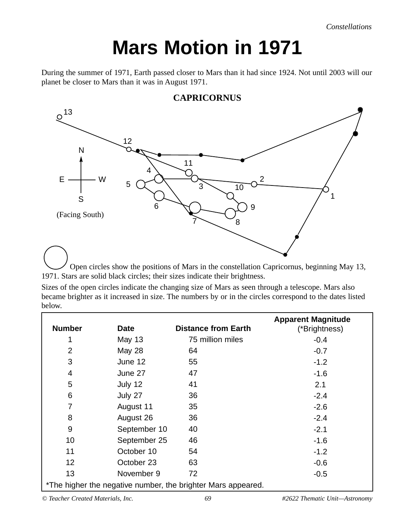*Constellations*

## **Mars Motion in 1971**

During the summer of 1971, Earth passed closer to Mars than it had since 1924. Not until 2003 will our planet be closer to Mars than it was in August 1971.



**CAPRICORNUS**

Open circles show the positions of Mars in the constellation Capricornus, beginning May 13, 1971. Stars are solid black circles; their sizes indicate their brightness.

Sizes of the open circles indicate the changing size of Mars as seen through a telescope. Mars also became brighter as it increased in size. The numbers by or in the circles correspond to the dates listed below.

| <b>Number</b>                                                | <b>Date</b>   | <b>Distance from Earth</b> | <b>Apparent Magnitude</b><br>(*Brightness) |
|--------------------------------------------------------------|---------------|----------------------------|--------------------------------------------|
|                                                              | <b>May 13</b> | 75 million miles           | $-0.4$                                     |
| $\overline{2}$                                               | <b>May 28</b> | 64                         | $-0.7$                                     |
| 3                                                            | June 12       | 55                         | $-1.2$                                     |
| $\overline{4}$                                               | June 27       | 47                         | $-1.6$                                     |
| 5                                                            | July 12       | 41                         | 2.1                                        |
| 6                                                            | July 27       | 36                         | $-2.4$                                     |
| $\overline{7}$                                               | August 11     | 35                         | $-2.6$                                     |
| 8                                                            | August 26     | 36                         | $-2.4$                                     |
| $9\,$                                                        | September 10  | 40                         | $-2.1$                                     |
| 10                                                           | September 25  | 46                         | $-1.6$                                     |
| 11                                                           | October 10    | 54                         | $-1.2$                                     |
| 12                                                           | October 23    | 63                         | $-0.6$                                     |
| 13                                                           | November 9    | 72                         | $-0.5$                                     |
| *The higher the negative number, the brighter Mars appeared. |               |                            |                                            |

*© Teacher Created Materials, Inc. 69 #2622 Thematic Unit—Astronomy*